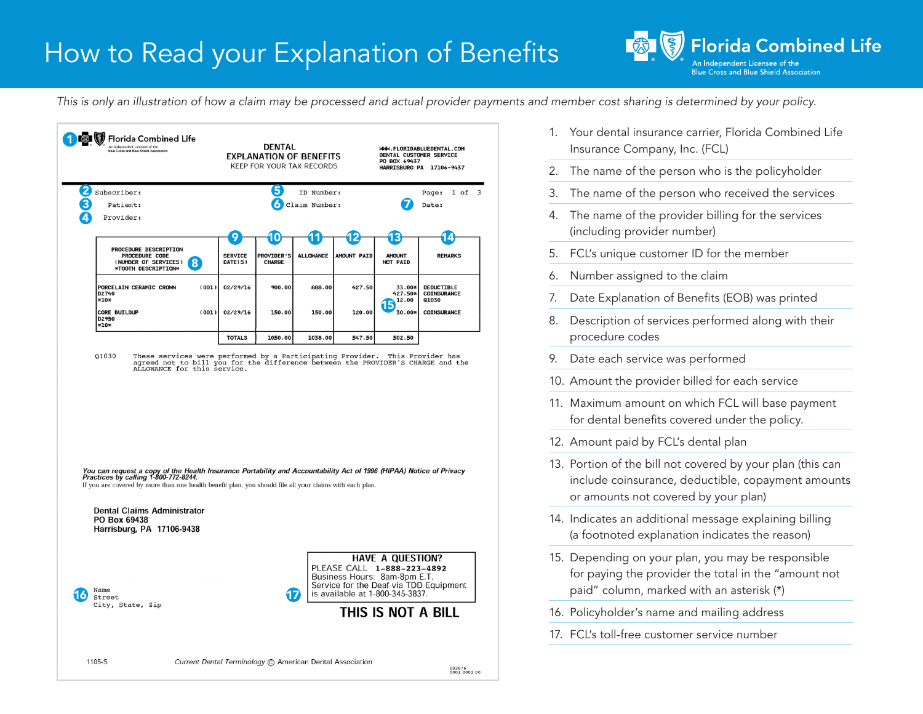## How to Read your Explanation of Benefits

**Florida Combined Life Blue Cross and Blue Shield Association** 

*This is only an illustration of how a claim may be processed and actual provider payments and member cost sharing is determined by your policy.*





- 1. Your dental insurance carrier, Florida Combined Life Insurance Company, Inc. (FCL)
- 2. The name of the person who is the policyholder
- 3. The name of the person who received the services
- 4. The name of the provider billing for the services (including provider number)
- 5. FCL's unique customer ID for the member
- 6. Number assigned to the claim
- 7. Date Explanation of Benefits (EOB) was printed
- 8. Description of services performed along with their procedure codes
- 9. Date each service was performed
- 10. Amount the provider billed for each service
- 11. Maximum amount on which FCL will base payment for dental benefits covered under the policy.
- 12. Amount paid by FCL's dental plan
- 13. Portion of the bill not covered by your plan (this can include coinsurance, deductible, copayment amounts or amounts not covered by your plan)
- 14. Indicates an additional message explaining billing (a footnoted explanation indicates the reason)
- 15. Depending on your plan, you may be responsible for paying the provider the total in the "amount not paid" column, marked with an asterisk (\*)
- 16. Policyholder's name and mailing address
- 17. FCL's toll-free customer service number

Current Dental Terminology C American Dental Association

1105-S

003676<br>0001 0002 00